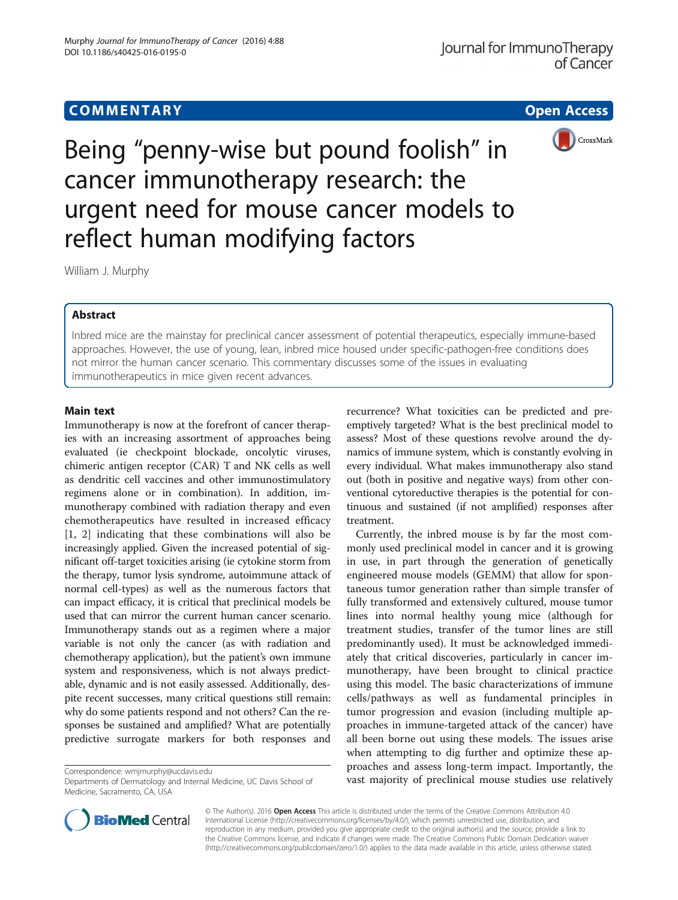# **COMMENTARY COMMENTARY Open Access**



Being "penny-wise but pound foolish" in cancer immunotherapy research: the urgent need for mouse cancer models to reflect human modifying factors

William J. Murphy

# Abstract

Inbred mice are the mainstay for preclinical cancer assessment of potential therapeutics, especially immune-based approaches. However, the use of young, lean, inbred mice housed under specific-pathogen-free conditions does not mirror the human cancer scenario. This commentary discusses some of the issues in evaluating immunotherapeutics in mice given recent advances.

## Main text

Immunotherapy is now at the forefront of cancer therapies with an increasing assortment of approaches being evaluated (ie checkpoint blockade, oncolytic viruses, chimeric antigen receptor (CAR) T and NK cells as well as dendritic cell vaccines and other immunostimulatory regimens alone or in combination). In addition, immunotherapy combined with radiation therapy and even chemotherapeutics have resulted in increased efficacy [[1, 2](#page-2-0)] indicating that these combinations will also be increasingly applied. Given the increased potential of significant off-target toxicities arising (ie cytokine storm from the therapy, tumor lysis syndrome, autoimmune attack of normal cell-types) as well as the numerous factors that can impact efficacy, it is critical that preclinical models be used that can mirror the current human cancer scenario. Immunotherapy stands out as a regimen where a major variable is not only the cancer (as with radiation and chemotherapy application), but the patient's own immune system and responsiveness, which is not always predictable, dynamic and is not easily assessed. Additionally, despite recent successes, many critical questions still remain: why do some patients respond and not others? Can the responses be sustained and amplified? What are potentially predictive surrogate markers for both responses and

Departments of Dermatology and Internal Medicine, UC Davis School of Medicine, Sacramento, CA, USA

recurrence? What toxicities can be predicted and preemptively targeted? What is the best preclinical model to assess? Most of these questions revolve around the dynamics of immune system, which is constantly evolving in every individual. What makes immunotherapy also stand out (both in positive and negative ways) from other conventional cytoreductive therapies is the potential for continuous and sustained (if not amplified) responses after treatment.

Currently, the inbred mouse is by far the most commonly used preclinical model in cancer and it is growing in use, in part through the generation of genetically engineered mouse models (GEMM) that allow for spontaneous tumor generation rather than simple transfer of fully transformed and extensively cultured, mouse tumor lines into normal healthy young mice (although for treatment studies, transfer of the tumor lines are still predominantly used). It must be acknowledged immediately that critical discoveries, particularly in cancer immunotherapy, have been brought to clinical practice using this model. The basic characterizations of immune cells/pathways as well as fundamental principles in tumor progression and evasion (including multiple approaches in immune-targeted attack of the cancer) have all been borne out using these models. The issues arise when attempting to dig further and optimize these approaches and assess long-term impact. Importantly, the Correspondence: [wmjmurphy@ucdavis.edu](mailto:wmjmurphy@ucdavis.edu)<br>Departments of Dermatology and Internal Medicine, UC Davis School of **vast majority of preclinical mouse studies use relatively** 



© The Author(s). 2016 **Open Access** This article is distributed under the terms of the Creative Commons Attribution 4.0 International License [\(http://creativecommons.org/licenses/by/4.0/](http://creativecommons.org/licenses/by/4.0/)), which permits unrestricted use, distribution, and reproduction in any medium, provided you give appropriate credit to the original author(s) and the source, provide a link to the Creative Commons license, and indicate if changes were made. The Creative Commons Public Domain Dedication waiver [\(http://creativecommons.org/publicdomain/zero/1.0/](http://creativecommons.org/publicdomain/zero/1.0/)) applies to the data made available in this article, unless otherwise stated.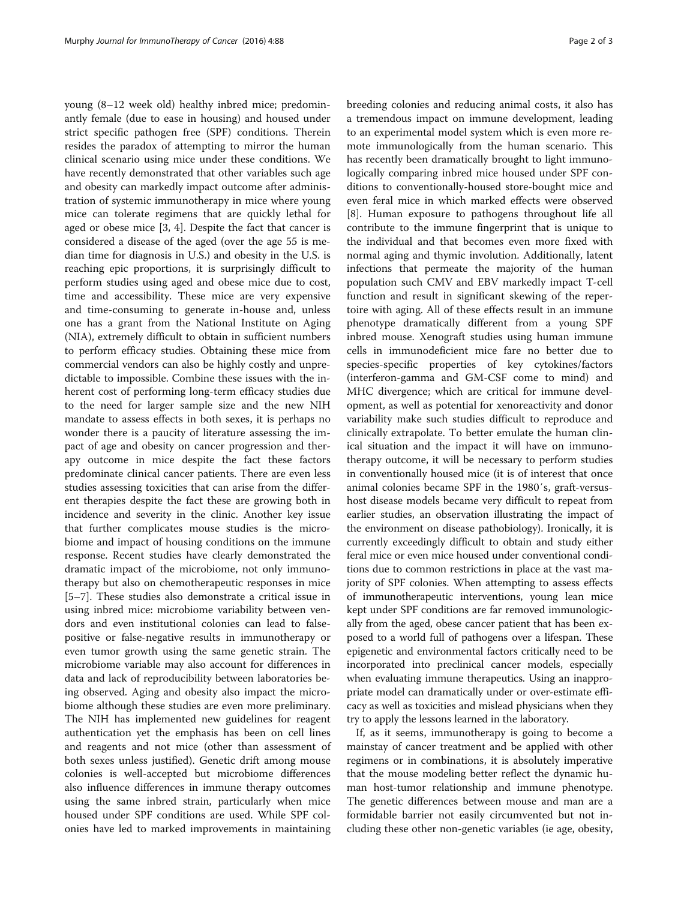young (8–12 week old) healthy inbred mice; predominantly female (due to ease in housing) and housed under strict specific pathogen free (SPF) conditions. Therein resides the paradox of attempting to mirror the human clinical scenario using mice under these conditions. We have recently demonstrated that other variables such age and obesity can markedly impact outcome after administration of systemic immunotherapy in mice where young mice can tolerate regimens that are quickly lethal for aged or obese mice [[3, 4](#page-2-0)]. Despite the fact that cancer is considered a disease of the aged (over the age 55 is median time for diagnosis in U.S.) and obesity in the U.S. is reaching epic proportions, it is surprisingly difficult to perform studies using aged and obese mice due to cost, time and accessibility. These mice are very expensive and time-consuming to generate in-house and, unless one has a grant from the National Institute on Aging (NIA), extremely difficult to obtain in sufficient numbers to perform efficacy studies. Obtaining these mice from commercial vendors can also be highly costly and unpredictable to impossible. Combine these issues with the inherent cost of performing long-term efficacy studies due to the need for larger sample size and the new NIH mandate to assess effects in both sexes, it is perhaps no wonder there is a paucity of literature assessing the impact of age and obesity on cancer progression and therapy outcome in mice despite the fact these factors predominate clinical cancer patients. There are even less studies assessing toxicities that can arise from the different therapies despite the fact these are growing both in incidence and severity in the clinic. Another key issue that further complicates mouse studies is the microbiome and impact of housing conditions on the immune response. Recent studies have clearly demonstrated the dramatic impact of the microbiome, not only immunotherapy but also on chemotherapeutic responses in mice [[5](#page-2-0)–[7\]](#page-2-0). These studies also demonstrate a critical issue in using inbred mice: microbiome variability between vendors and even institutional colonies can lead to falsepositive or false-negative results in immunotherapy or even tumor growth using the same genetic strain. The microbiome variable may also account for differences in data and lack of reproducibility between laboratories being observed. Aging and obesity also impact the microbiome although these studies are even more preliminary. The NIH has implemented new guidelines for reagent authentication yet the emphasis has been on cell lines and reagents and not mice (other than assessment of both sexes unless justified). Genetic drift among mouse colonies is well-accepted but microbiome differences also influence differences in immune therapy outcomes using the same inbred strain, particularly when mice housed under SPF conditions are used. While SPF colonies have led to marked improvements in maintaining breeding colonies and reducing animal costs, it also has a tremendous impact on immune development, leading to an experimental model system which is even more remote immunologically from the human scenario. This has recently been dramatically brought to light immunologically comparing inbred mice housed under SPF conditions to conventionally-housed store-bought mice and even feral mice in which marked effects were observed [[8\]](#page-2-0). Human exposure to pathogens throughout life all contribute to the immune fingerprint that is unique to the individual and that becomes even more fixed with normal aging and thymic involution. Additionally, latent infections that permeate the majority of the human population such CMV and EBV markedly impact T-cell function and result in significant skewing of the repertoire with aging. All of these effects result in an immune phenotype dramatically different from a young SPF inbred mouse. Xenograft studies using human immune cells in immunodeficient mice fare no better due to species-specific properties of key cytokines/factors (interferon-gamma and GM-CSF come to mind) and MHC divergence; which are critical for immune development, as well as potential for xenoreactivity and donor variability make such studies difficult to reproduce and clinically extrapolate. To better emulate the human clinical situation and the impact it will have on immunotherapy outcome, it will be necessary to perform studies in conventionally housed mice (it is of interest that once animal colonies became SPF in the 1980′s, graft-versushost disease models became very difficult to repeat from earlier studies, an observation illustrating the impact of the environment on disease pathobiology). Ironically, it is currently exceedingly difficult to obtain and study either feral mice or even mice housed under conventional conditions due to common restrictions in place at the vast majority of SPF colonies. When attempting to assess effects of immunotherapeutic interventions, young lean mice kept under SPF conditions are far removed immunologically from the aged, obese cancer patient that has been exposed to a world full of pathogens over a lifespan. These epigenetic and environmental factors critically need to be incorporated into preclinical cancer models, especially when evaluating immune therapeutics. Using an inappropriate model can dramatically under or over-estimate efficacy as well as toxicities and mislead physicians when they try to apply the lessons learned in the laboratory.

If, as it seems, immunotherapy is going to become a mainstay of cancer treatment and be applied with other regimens or in combinations, it is absolutely imperative that the mouse modeling better reflect the dynamic human host-tumor relationship and immune phenotype. The genetic differences between mouse and man are a formidable barrier not easily circumvented but not including these other non-genetic variables (ie age, obesity,